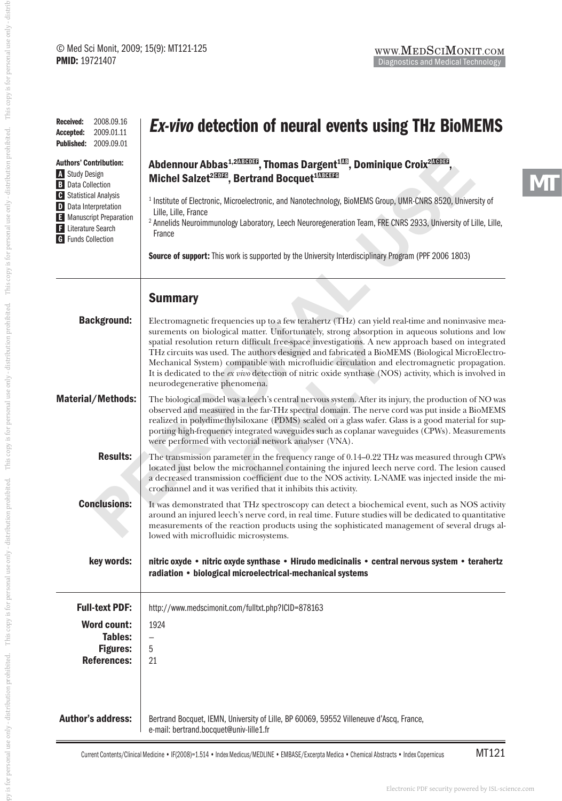| 2008.09.16<br><b>Received:</b><br>2009.01.11<br>Accepted:<br><b>Published:</b><br>2009.09.01                                                                                                                                        | <i>Ex-vivo</i> detection of neural events using THz BioMEMS                                                                                                                                                                                                                                                                                                                                                                                                                                                                                                                                                                                        |
|-------------------------------------------------------------------------------------------------------------------------------------------------------------------------------------------------------------------------------------|----------------------------------------------------------------------------------------------------------------------------------------------------------------------------------------------------------------------------------------------------------------------------------------------------------------------------------------------------------------------------------------------------------------------------------------------------------------------------------------------------------------------------------------------------------------------------------------------------------------------------------------------------|
| <b>Authors' Contribution:</b><br>A Study Design<br><b>B</b> Data Collection<br><b>G</b> Statistical Analysis<br><b>D</b> Data Interpretation<br>E Manuscript Preparation<br><b>F</b> Literature Search<br><b>G</b> Funds Collection | Abdennour Abbas <sup>1,203003</sup> , Thomas Dargent <sup>103</sup> , Dominique Croix <sup>20003</sup><br>Michel Salzet <sup>20010</sup> , Bertrand Bocquet <sup>100010</sup>                                                                                                                                                                                                                                                                                                                                                                                                                                                                      |
|                                                                                                                                                                                                                                     | <sup>1</sup> Institute of Electronic, Microelectronic, and Nanotechnology, BioMEMS Group, UMR-CNRS 8520, University of<br>Lille, Lille, France<br><sup>2</sup> Annelids Neuroimmunology Laboratory, Leech Neuroregeneration Team, FRE CNRS 2933, University of Lille, Lille,<br>France                                                                                                                                                                                                                                                                                                                                                             |
|                                                                                                                                                                                                                                     | Source of support: This work is supported by the University Interdisciplinary Program (PPF 2006 1803)                                                                                                                                                                                                                                                                                                                                                                                                                                                                                                                                              |
|                                                                                                                                                                                                                                     | <b>Summary</b>                                                                                                                                                                                                                                                                                                                                                                                                                                                                                                                                                                                                                                     |
| <b>Background:</b>                                                                                                                                                                                                                  | Electromagnetic frequencies up to a few terahertz (THz) can yield real-time and noninvasive mea-<br>surements on biological matter. Unfortunately, strong absorption in aqueous solutions and low<br>spatial resolution return difficult free-space investigations. A new approach based on integrated<br>THz circuits was used. The authors designed and fabricated a BioMEMS (Biological MicroElectro-<br>Mechanical System) compatible with microfluidic circulation and electromagnetic propagation.<br>It is dedicated to the ex vivo detection of nitric oxide synthase (NOS) activity, which is involved in<br>neurodegenerative phenomena. |
| <b>Material/Methods:</b>                                                                                                                                                                                                            | The biological model was a leech's central nervous system. After its injury, the production of NO was<br>observed and measured in the far-THz spectral domain. The nerve cord was put inside a BioMEMS<br>realized in polydimethylsiloxane (PDMS) sealed on a glass wafer. Glass is a good material for sup-<br>porting high-frequency integrated waveguides such as coplanar waveguides (CPWs). Measurements<br>were performed with vectorial network analyser (VNA).                                                                                                                                                                             |
| <b>Results:</b>                                                                                                                                                                                                                     | The transmission parameter in the frequency range of 0.14–0.22 THz was measured through CPWs<br>located just below the microchannel containing the injured leech nerve cord. The lesion caused<br>a decreased transmission coefficient due to the NOS activity. L-NAME was injected inside the mi-<br>crochannel and it was verified that it inhibits this activity.                                                                                                                                                                                                                                                                               |
| <b>Conclusions:</b>                                                                                                                                                                                                                 | It was demonstrated that THz spectroscopy can detect a biochemical event, such as NOS activity<br>around an injured leech's nerve cord, in real time. Future studies will be dedicated to quantitative<br>measurements of the reaction products using the sophisticated management of several drugs al-<br>lowed with microfluidic microsystems.                                                                                                                                                                                                                                                                                                   |
| key words:                                                                                                                                                                                                                          | nitric oxyde • nitric oxyde synthase • Hirudo medicinalis • central nervous system • terahertz<br>radiation • biological microelectrical-mechanical systems                                                                                                                                                                                                                                                                                                                                                                                                                                                                                        |
| <b>Full-text PDF:</b>                                                                                                                                                                                                               | http://www.medscimonit.com/fulltxt.php?ICID=878163                                                                                                                                                                                                                                                                                                                                                                                                                                                                                                                                                                                                 |
| <b>Word count:</b><br><b>Tables:</b><br><b>Figures:</b><br><b>References:</b>                                                                                                                                                       | 1924<br>—<br>5<br>21                                                                                                                                                                                                                                                                                                                                                                                                                                                                                                                                                                                                                               |
| <b>Author's address:</b>                                                                                                                                                                                                            | Bertrand Bocquet, IEMN, University of Lille, BP 60069, 59552 Villeneuve d'Ascq, France,<br>e-mail: bertrand.bocquet@univ-lille1.fr                                                                                                                                                                                                                                                                                                                                                                                                                                                                                                                 |

MT121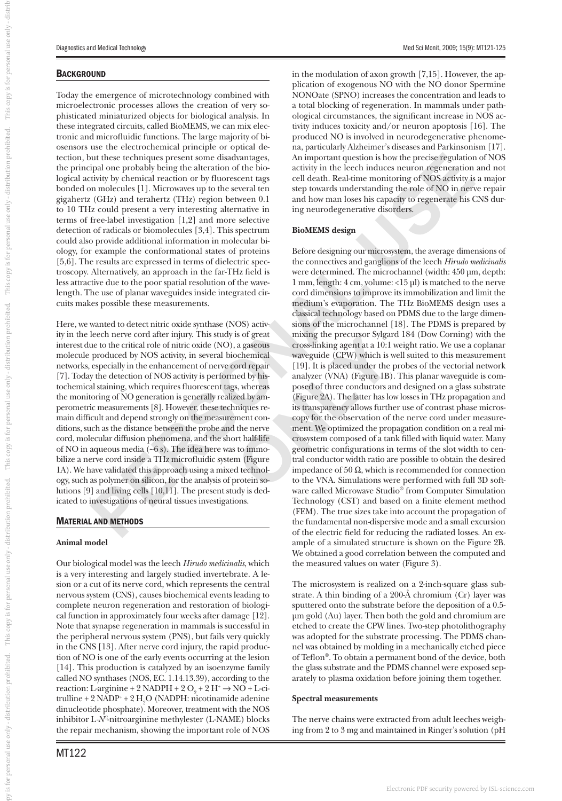# **BACKGROUND**

Today the emergence of microtechnology combined with microelectronic processes allows the creation of very sophisticated miniaturized objects for biological analysis. In these integrated circuits, called BioMEMS, we can mix electronic and microfluidic functions. The large majority of biosensors use the electrochemical principle or optical detection, but these techniques present some disadvantages, the principal one probably being the alteration of the biological activity by chemical reaction or by fluorescent tags bonded on molecules [1]. Microwaves up to the several ten gigahertz (GHz) and terahertz (THz) region between 0.1 to 10 THz could present a very interesting alternative in terms of free-label investigation [1,2] and more selective detection of radicals or biomolecules [3,4]. This spectrum could also provide additional information in molecular biology, for example the conformational states of proteins [5,6]. The results are expressed in terms of dielectric spectroscopy. Alternatively, an approach in the far-THz field is less attractive due to the poor spatial resolution of the wavelength. The use of planar waveguides inside integrated circuits makes possible these measurements.

Here, we wanted to detect nitric oxide synthase (NOS) activity in the leech nerve cord after injury. This study is of great interest due to the critical role of nitric oxide (NO), a gaseous molecule produced by NOS activity, in several biochemical networks, especially in the enhancement of nerve cord repair [7]. Today the detection of NOS activity is performed by histochemical staining, which requires fluorescent tags, whereas the monitoring of NO generation is generally realized by amperometric measurements [8]. However, these techniques remain difficult and depend strongly on the measurement conditions, such as the distance between the probe and the nerve cord, molecular diffusion phenomena, and the short half-life of NO in aqueous media  $(-6 s)$ . The idea here was to immobilize a nerve cord inside a THz microfluidic system (Figure 1A). We have validated this approach using a mixed technology, such as polymer on silicon, for the analysis of protein solutions [9] and living cells [10,11]. The present study is dedicated to investigations of neural tissues investigations.

## MATERIAL AND METHODS

## **Animal model**

Our biological model was the leech *Hirudo medicinalis*, which is a very interesting and largely studied invertebrate. A lesion or a cut of its nerve cord, which represents the central nervous system (CNS), causes biochemical events leading to complete neuron regeneration and restoration of biological function in approximately four weeks after damage [12]. Note that synapse regeneration in mammals is successful in the peripheral nervous system (PNS), but fails very quickly in the CNS [13]. After nerve cord injury, the rapid production of NO is one of the early events occurring at the lesion [14]. This production is catalyzed by an isoenzyme family called NO synthases (NOS, EC. 1.14.13.39), according to the reaction: L-arginine + 2 NADPH + 2  $O_2$  + 2 H<sup>+</sup>  $\rightarrow$  NO + L-citrulline + 2 NADP<sup>+</sup> + 2  $\text{H}_{2}\text{O}$  (NADPH: nicotinamide adenine dinucleotide phosphate). Moreover, treatment with the NOS inhibitor L*-NG*-nitroarginine methylester (L-NAME) blocks the repair mechanism, showing the important role of NOS

in the modulation of axon growth [7,15]. However, the application of exogenous NO with the NO donor Spermine NONOate (SPNO) increases the concentration and leads to a total blocking of regeneration. In mammals under pathological circumstances, the significant increase in NOS activity induces toxicity and/or neuron apoptosis [16]. The produced NO is involved in neurodegenerative phenomena, particularly Alzheimer's diseases and Parkinsonism [17]. An important question is how the precise regulation of NOS activity in the leech induces neuron regeneration and not cell death. Real-time monitoring of NOS activity is a major step towards understanding the role of NO in nerve repair and how man loses his capacity to regenerate his CNS during neurodegenerative disorders.

## **BioMEMS design**

out these techniques present some disacteananges. An important question for the precise ephalon of the bindom and the cent induces neuron segmentation of the disk and the precise ephalon of the bindom and modelles [1]. Mic Before designing our microsystem, the average dimensions of the connectives and ganglions of the leech *Hirudo medicinalis* were determined. The microchannel (width: 450 μm, depth: 1 mm, length: 4 cm, volume: <15 μl) is matched to the nerve cord dimensions to improve its immobilization and limit the medium's evaporation. The THz BioMEMS design uses a classical technology based on PDMS due to the large dimensions of the microchannel [18]. The PDMS is prepared by mixing the precursor Sylgard 184 (Dow Corning) with the cross-linking agent at a 10:1 weight ratio. We use a coplanar waveguide (CPW) which is well suited to this measurement [19]. It is placed under the probes of the vectorial network analyzer (VNA) (Figure 1B). This planar waveguide is composed of three conductors and designed on a glass substrate (Figure 2A). The latter has low losses in THz propagation and its transparency allows further use of contrast phase microscopy for the observation of the nerve cord under measurement. We optimized the propagation condition on a real microsystem composed of a tank filled with liquid water. Many geometric configurations in terms of the slot width to central conductor width ratio are possible to obtain the desired impedance of 50  $\Omega$ , which is recommended for connection to the VNA. Simulations were performed with full 3D software called Microwave Studio® from Computer Simulation Technology (CST) and based on a finite element method (FEM). The true sizes take into account the propagation of the fundamental non-dispersive mode and a small excursion of the electric field for reducing the radiated losses. An example of a simulated structure is shown on the Figure 2B. We obtained a good correlation between the computed and the measured values on water (Figure 3).

> The microsystem is realized on a 2-inch-square glass substrate. A thin binding of a 200-Å chromium (Cr) layer was sputtered onto the substrate before the deposition of a 0.5 μm gold (Au) layer. Then both the gold and chromium are etched to create the CPW lines. Two-step photolithography was adopted for the substrate processing. The PDMS channel was obtained by molding in a mechanically etched piece of Teflon®. To obtain a permanent bond of the device, both the glass substrate and the PDMS channel were exposed separately to plasma oxidation before joining them together.

## **Spectral measurements**

The nerve chains were extracted from adult leeches weighing from 2 to 3 mg and maintained in Ringer's solution (pH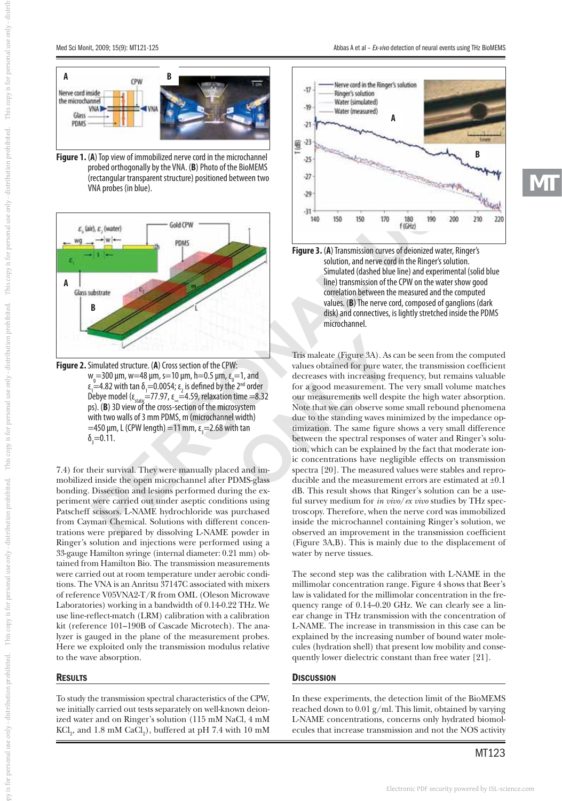

**Figure 1.** ( **A**) Top view of immobilized nerve cord in the microchannel probed orthogonally by the VNA. ( **B**) Photo of the BioMEMS (rectangular transparent structure) positioned between two VNA probes (in blue).



**Figure 2.** Simulated structure. ( **A**) Cross section of the CPW:  $w_g$ =300 μm, w=48 μm, s=10 μm, h=0.5 μm, ε<sub>0</sub>=1, and ε<sub>1</sub>=4.82 with tan δ<sub>1</sub>=0.0054; ε<sub>2</sub> is defined by the 2<sup>nd</sup> order Debye model ( $\epsilon_{\text{static}}$ =77.97,  $\epsilon_{\text{in}}$ =4.59, relaxation time =8.32 ps). ( **B**) 3D view of the cross-section of the microsystem with two walls of 3 mm PDMS, m (microchannel width)  $=$ 450 μm, L (CPW length) = 11 mm, ε<sub>3</sub> = 2.68 with tan  $\delta$ <sub>3</sub> **B**<br>imulate<br> $v_g$ =300<br> $\frac{1}{1}$ =4.82<br>ablebye m<br>s). (**B**) 3<br>=450 µm<br> $v_g$ =0.11.

7.4) for their survival. They were manually placed and immobilized inside the open microchannel after PDMS-glass bonding. Dissection and lesions performed during the ex-Patscheff scissors. L-NAME hydrochloride was purchased from Cayman Chemical. Solutions with different concentrations were prepared by dissolving L-NAME powder in Ringer's solution and injections were performed using a 33-gauge Hamilton syringe (internal diameter: 0.21 mm) obtained from Hamilton Bio. The transmission measurements were carried out at room temperature under aerobic conditions. The VNA is an Anritsu 37147C associated with mixers of reference V05VNA2-T/R from OML (Oleson Microwave Laboratories) working in a bandwidth of 0.14-0.22 THz. We use line-reflect-match (LRM) calibration with a calibration kit (reference 101–190B of Cascade Microtech). The analyzer is gauged in the plane of the measurement probes. Here we exploited only the transmission modulus relative to the wave absorption.

### RESULTS

To study the transmission spectral characteristics of the CPW, we initially carried out tests separately on well-known deionized water and on Ringer's solution (115 mM NaCl, 4 mM  $\rm{KCl}_{2}$ , and  $\rm{1.8\;mM~CaCl}_{2}$ ), buffered at pH 7.4 with  $\rm{10\;mM}$ 



**MT**



**Example throughly the NRA (RB) Photo of the microdiannel to the microdiannel to the controlline state of the line of the BinAlMAS<br>
Protocol and the state of the BinAlMAS<br>
Protocol and the state of the BinAlMAS<br>
Protocol Figure 2.** Simulated structure. (**A**) Cross section of the CPW:<br>
Tris maleate (Figure 3A). As can<br>  $w_9 = 300 \text{ µm}$ ,  $w = 48 \text{ µm}$ ,  $s = 10 \text{ µm}$ ,  $h = 0.5 \text{ µm}$ ,  $\epsilon_0 = 1$ , and<br>  $\epsilon_1 = 4.52$  with tan  $\delta_1 = 0.0054$ ;  $\epsilon$ Tris maleate (Figure 3A). As can be seen from the computed values obtained for pure water, the transmission coefficient decreases with increasing frequency, but remains valuable for a good measurement. The very small volume matches our measurements well despite the high water absorption. Note that we can observe some small rebound phenomena due to the standing waves minimized by the impedance optimization. The same figure shows a very small difference between the spectral responses of water and Ringer's solution, which can be explained by the fact that moderate ionic concentrations have negligible effects on transmission spectra [20]. The measured values were stables and reproducible and the measurement errors are estimated at ±0.1 dB. This result shows that Ringer's solution can be a useful survey medium for *in vivo*/*ex vivo* studies by THz spectroscopy. Therefore, when the nerve cord was immobilized inside the microchannel containing Ringer's solution, we observed an improvement in the transmission coefficient (Figure 3A,B). This is mainly due to the displacement of water by nerve tissues.

> The second step was the calibration with L-NAME in the millimolar concentration range. Figure 4 shows that Beer's law is validated for the millimolar concentration in the frequency range of 0.14–0.20 GHz. We can clearly see a linear change in THz transmission with the concentration of L-NAME. The increase in transmission in this case can be explained by the increasing number of bound water molecules (hydration shell) that present low mobility and consequently lower dielectric constant than free water [21].

#### **DISCUSSION**

In these experiments, the detection limit of the BioMEMS reached down to 0.01 g/ml. This limit, obtained by varying L-NAME concentrations, concerns only hydrated biomolecules that increase transmission and not the NOS activity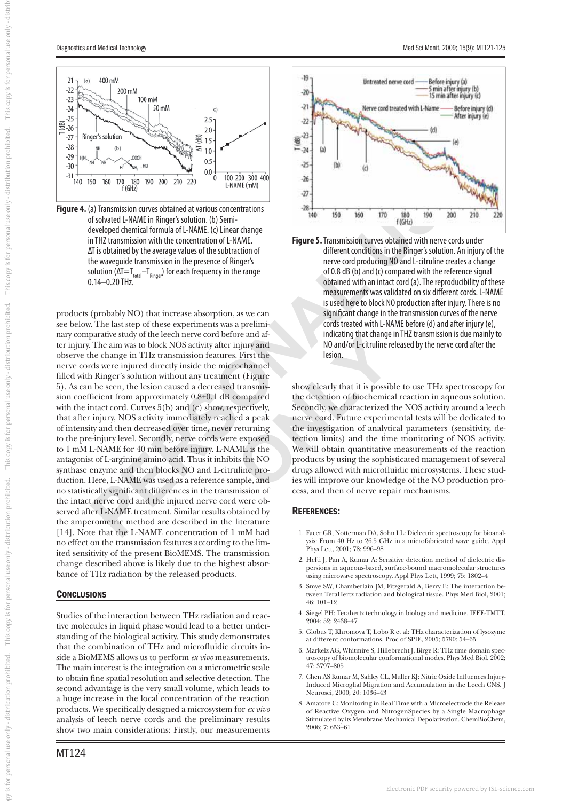This copy is for personal use only - distril

This copy is for personal use only - distribution prohibited.

This copy is for personal use only - distribution prohibited.

This copy is for personal use only - distribution prohibited.

- distribution prohibited.

by is for personal use only

py is for personal use only - distributiond problibited. This copy is for personal use only - distribution prodibited. This copy is for personal use only - distribution problibited. This copy is for personal use only - dis



**Figure 4.** (a) Transmission curves obtained at various concentrations of solvated L-NAME in Ringer's solution. (b) Semideveloped chemical formula of L-NAME. (c) Linear change in THZ transmission with the concentration of L-NAME. ΔT is obtained by the average values of the subtraction of the waveguide transmission in the presence of Ringer's solution (ΔT=T $_{total}$ –T<sub>Ringer</sub>) for each frequency in the range 0.14–0.20 THz.

**PERSONAL USE A CONSULTER CONSULTER CONSULTER CONSULTER CONSULTER CONSULTER CONSULTER CONSULTER CONSULTER CONSULTER CONSULTER CONSULTER CONSULTER CONSULTER CONSULTER CONSULTER CONSULTER CONSULTER CONSULTER CONSULTER CONSUL** products (probably NO) that increase absorption, as we can see below. The last step of these experiments was a preliminary comparative study of the leech nerve cord before and after injury. The aim was to block NOS activity after injury and observe the change in THz transmission features. First the filled with Ringer's solution without any treatment (Figure 5). As can be seen, the lesion caused a decreased transmission coefficient from approximately  $0.8\pm0.1$  dB compared with the intact cord. Curves 5(b) and (c) show, respectively, that after injury, NOS activity immediately reached a peak of intensity and then decreased over time, never returning to the pre-injury level. Secondly, nerve cords were exposed to 1 mM L-NAME for 40 min before injury. L-NAME is the antagonist of L-arginine amino acid. Thus it inhibits the NO synthase enzyme and then blocks NO and L-citruline production. Here, L-NAME was used as a reference sample, and no statistically significant differences in the transmission of the intact nerve cord and the injured nerve cord were observed after L-NAME treatment. Similar results obtained by the amperometric method are described in the literature [14]. Note that the L-NAME concentration of 1 mM had no effect on the transmission features according to the limited sensitivity of the present BioMEMS. The transmission change described above is likely due to the highest absorbance of THz radiation by the released products.

### **CONCLUSIONS**

Studies of the interaction between THz radiation and reactive molecules in liquid phase would lead to a better understanding of the biological activity. This study demonstrates that the combination of THz and microfluidic circuits inside a BioMEMS allows us to perform *ex vivo* measurements. The main interest is the integration on a micrometric scale to obtain fine spatial resolution and selective detection. The second advantage is the very small volume, which leads to a huge increase in the local concentration of the reaction products. We specifically designed a microsystem for *ex vivo* analysis of leech nerve cords and the preliminary results show two main considerations: Firstly, our measurements





show clearly that it is possible to use THz spectroscopy for the detection of biochemical reaction in aqueous solution. Secondly, we characterized the NOS activity around a leech nerve cord. Future experimental tests will be dedicated to the investigation of analytical parameters (sensitivity, detection limits) and the time monitoring of NOS activity. We will obtain quantitative measurements of the reaction products by using the sophisticated management of several drugs allowed with microfluidic microsystems. These studies will improve our knowledge of the NO production process, and then of nerve repair mechanisms.

#### REFERENCES:

- 1. Facer GR, Notterman DA, Sohn LL: Dielectric spectroscopy for bioanalysis: From 40 Hz to 26.5 GHz in a microfabricated wave guide. Appl Phys Lett, 2001; 78: 996–98
- 2. Hefti J, Pan A, Kumar A: Sensitive detection method of dielectric dispersions in aqueous-based, surface-bound macromolecular structures using microwave spectroscopy. Appl Phys Lett, 1999; 75: 1802–4
- 3. Smye SW, Chamberlain JM, Fitzgerald A, Berry E: The interaction between TeraHertz radiation and biological tissue. Phys Med Biol, 2001; 46: 101–12
- 4. Siegel PH: Terahertz technology in biology and medicine. IEEE-TMTT, 2004; 52: 2438–47
- 5. Globus T, Khromova T, Lobo R et al: THz characterization of lysozyme at different conformations. Proc of SPIE, 2005; 5790: 54–65
- 6. Markelz AG, Whitmire S, Hillebrecht J, Birge R: THz time domain spectroscopy of biomolecular conformational modes. Phys Med Biol, 2002; 47: 3797–805
- 7. Chen AS Kumar M, Sahley CL, Muller KJ: Nitric Oxide Influences Injury-Induced Microglial Migration and Accumulation in the Leech CNS. J Neurosci, 2000; 20: 1036–43
- 8. Amatore C: Monitoring in Real Time with a Microelectrode the Release of Reactive Oxygen and NitrogenSpecies by a Single Macrophage Stimulated by its Membrane Mechanical Depolarization. ChemBioChem, 2006; 7: 653–61